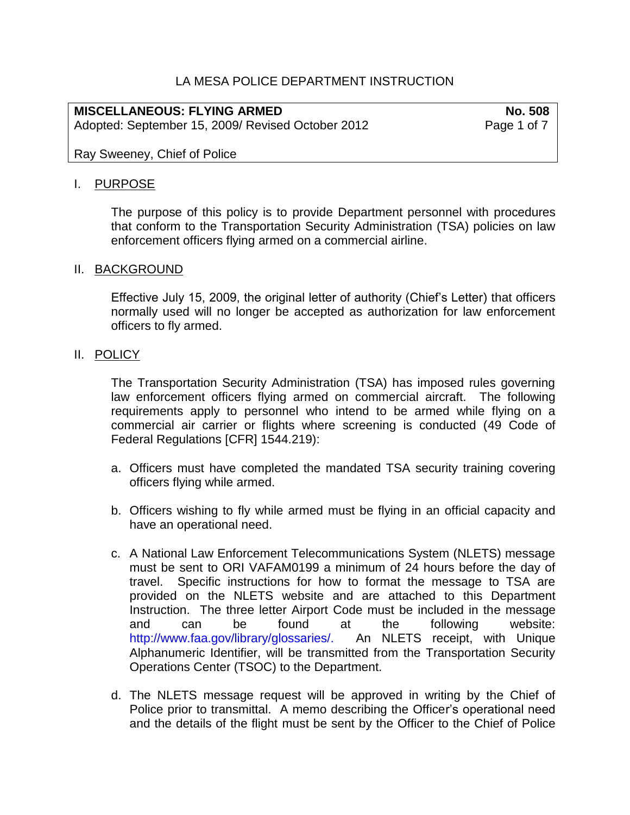# LA MESA POLICE DEPARTMENT INSTRUCTION

**MISCELLANEOUS: FLYING ARMED No. 508** Adopted: September 15, 2009/ Revised October 2012 Page 1 of 7

Ray Sweeney, Chief of Police

#### I. PURPOSE

The purpose of this policy is to provide Department personnel with procedures that conform to the Transportation Security Administration (TSA) policies on law enforcement officers flying armed on a commercial airline.

#### II. BACKGROUND

Effective July 15, 2009, the original letter of authority (Chief's Letter) that officers normally used will no longer be accepted as authorization for law enforcement officers to fly armed.

#### II. POLICY

The Transportation Security Administration (TSA) has imposed rules governing law enforcement officers flying armed on commercial aircraft. The following requirements apply to personnel who intend to be armed while flying on a commercial air carrier or flights where screening is conducted (49 Code of Federal Regulations [CFR] 1544.219):

- a. Officers must have completed the mandated TSA security training covering officers flying while armed.
- b. Officers wishing to fly while armed must be flying in an official capacity and have an operational need.
- c. A National Law Enforcement Telecommunications System (NLETS) message must be sent to ORI VAFAM0199 a minimum of 24 hours before the day of travel. Specific instructions for how to format the message to TSA are provided on the NLETS website and are attached to this Department Instruction. The three letter Airport Code must be included in the message and can be found at the following website: http://www.faa.gov/library/glossaries/. An NLETS receipt, with Unique Alphanumeric Identifier, will be transmitted from the Transportation Security Operations Center (TSOC) to the Department.
- d. The NLETS message request will be approved in writing by the Chief of Police prior to transmittal. A memo describing the Officer's operational need and the details of the flight must be sent by the Officer to the Chief of Police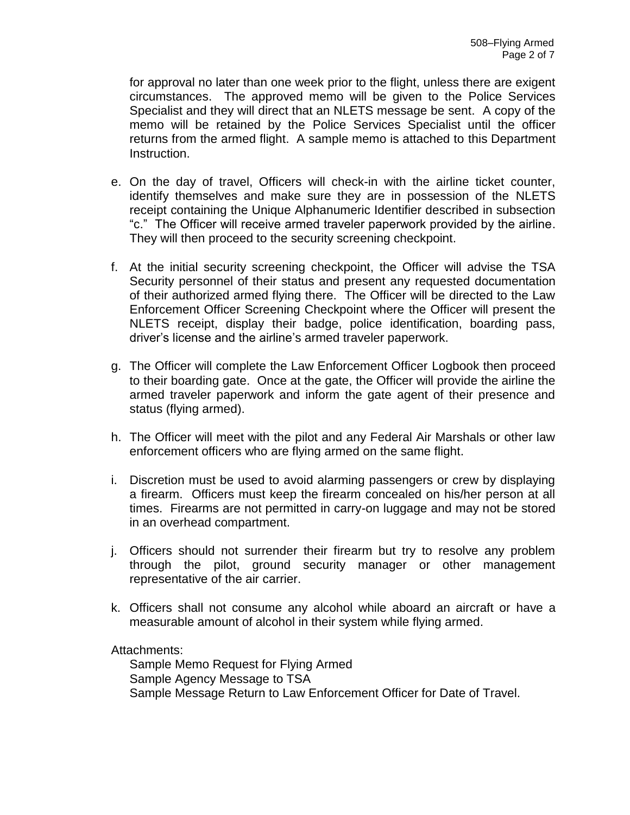for approval no later than one week prior to the flight, unless there are exigent circumstances. The approved memo will be given to the Police Services Specialist and they will direct that an NLETS message be sent. A copy of the memo will be retained by the Police Services Specialist until the officer returns from the armed flight. A sample memo is attached to this Department Instruction.

- e. On the day of travel, Officers will check-in with the airline ticket counter, identify themselves and make sure they are in possession of the NLETS receipt containing the Unique Alphanumeric Identifier described in subsection "c." The Officer will receive armed traveler paperwork provided by the airline. They will then proceed to the security screening checkpoint.
- f. At the initial security screening checkpoint, the Officer will advise the TSA Security personnel of their status and present any requested documentation of their authorized armed flying there. The Officer will be directed to the Law Enforcement Officer Screening Checkpoint where the Officer will present the NLETS receipt, display their badge, police identification, boarding pass, driver's license and the airline's armed traveler paperwork.
- g. The Officer will complete the Law Enforcement Officer Logbook then proceed to their boarding gate. Once at the gate, the Officer will provide the airline the armed traveler paperwork and inform the gate agent of their presence and status (flying armed).
- h. The Officer will meet with the pilot and any Federal Air Marshals or other law enforcement officers who are flying armed on the same flight.
- i. Discretion must be used to avoid alarming passengers or crew by displaying a firearm. Officers must keep the firearm concealed on his/her person at all times. Firearms are not permitted in carry-on luggage and may not be stored in an overhead compartment.
- j. Officers should not surrender their firearm but try to resolve any problem through the pilot, ground security manager or other management representative of the air carrier.
- k. Officers shall not consume any alcohol while aboard an aircraft or have a measurable amount of alcohol in their system while flying armed.

Attachments:

Sample Memo Request for Flying Armed Sample Agency Message to TSA Sample Message Return to Law Enforcement Officer for Date of Travel.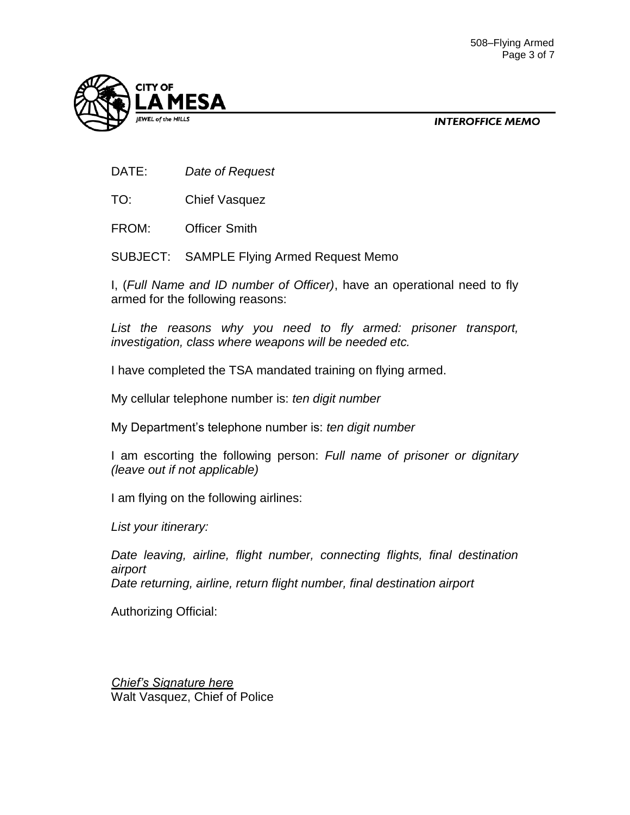

**INTEROFFICE MEMO** 

DATE: *Date of Request*

TO: Chief Vasquez

FROM: Officer Smith

SUBJECT: SAMPLE Flying Armed Request Memo

I, (*Full Name and ID number of Officer)*, have an operational need to fly armed for the following reasons:

*List the reasons why you need to fly armed: prisoner transport, investigation, class where weapons will be needed etc.*

I have completed the TSA mandated training on flying armed.

My cellular telephone number is: *ten digit number*

My Department's telephone number is: *ten digit number*

I am escorting the following person: *Full name of prisoner or dignitary (leave out if not applicable)*

I am flying on the following airlines:

*List your itinerary:* 

*Date leaving, airline, flight number, connecting flights, final destination airport Date returning, airline, return flight number, final destination airport* 

Authorizing Official:

*Chief's Signature here*  Walt Vasquez, Chief of Police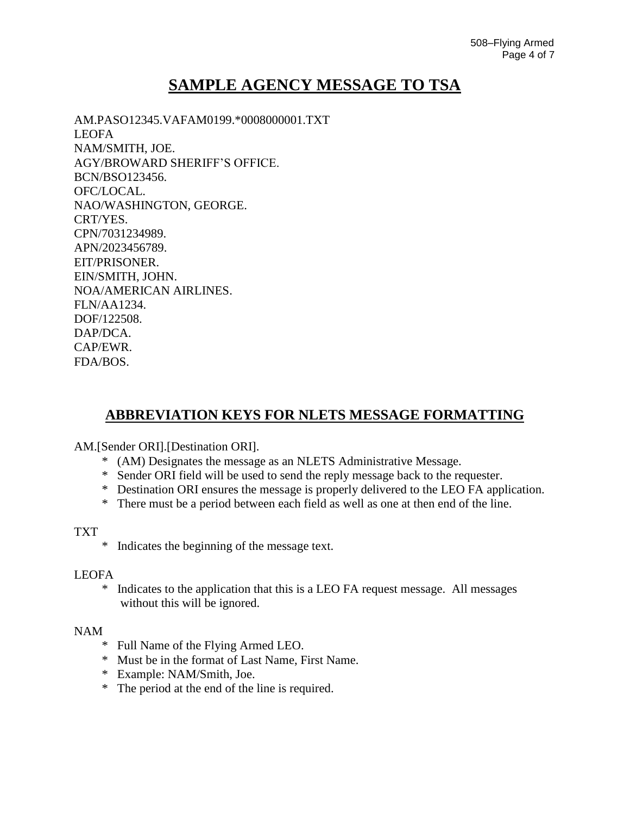# **SAMPLE AGENCY MESSAGE TO TSA**

AM.PASO12345.VAFAM0199.\*0008000001.TXT LEOFA NAM/SMITH, JOE. AGY/BROWARD SHERIFF'S OFFICE. BCN/BSO123456. OFC/LOCAL. NAO/WASHINGTON, GEORGE. CRT/YES. CPN/7031234989. APN/2023456789. EIT/PRISONER. EIN/SMITH, JOHN. NOA/AMERICAN AIRLINES. FLN/AA1234. DOF/122508. DAP/DCA. CAP/EWR. FDA/BOS.

# **ABBREVIATION KEYS FOR NLETS MESSAGE FORMATTING**

#### AM.[Sender ORI].[Destination ORI].

- \* (AM) Designates the message as an NLETS Administrative Message.
- \* Sender ORI field will be used to send the reply message back to the requester.
- \* Destination ORI ensures the message is properly delivered to the LEO FA application.
- \* There must be a period between each field as well as one at then end of the line.

#### TXT

\* Indicates the beginning of the message text.

#### LEOFA

 \* Indicates to the application that this is a LEO FA request message. All messages without this will be ignored.

#### NAM

- \* Full Name of the Flying Armed LEO.
- \* Must be in the format of Last Name, First Name.
- \* Example: NAM/Smith, Joe.
- \* The period at the end of the line is required.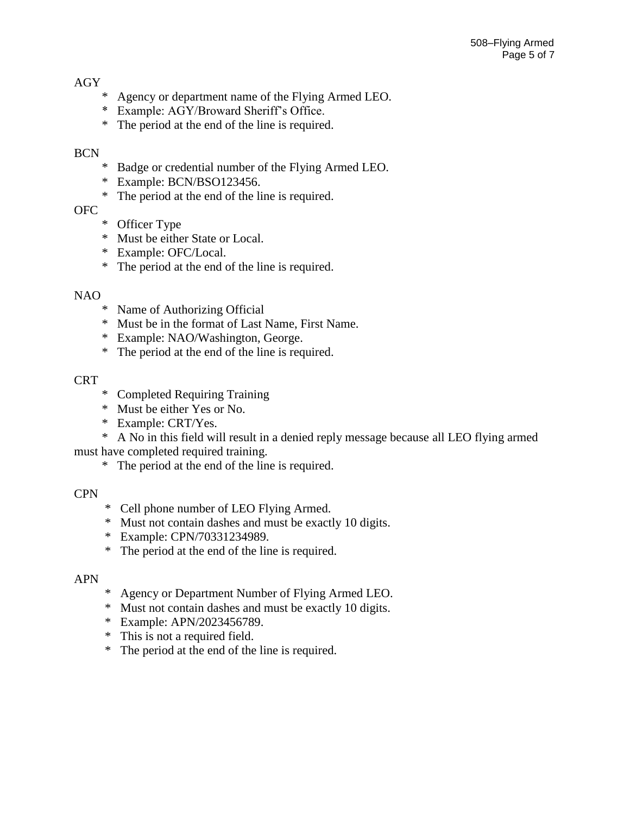## AGY

- \* Agency or department name of the Flying Armed LEO.
- \* Example: AGY/Broward Sheriff's Office.
- \* The period at the end of the line is required.

#### BCN

- \* Badge or credential number of the Flying Armed LEO.
- \* Example: BCN/BSO123456.
- \* The period at the end of the line is required.

## OFC

- \* Officer Type
- \* Must be either State or Local.
- \* Example: OFC/Local.
- \* The period at the end of the line is required.

#### NAO

- \* Name of Authorizing Official
- \* Must be in the format of Last Name, First Name.
- \* Example: NAO/Washington, George.
- \* The period at the end of the line is required.

## **CRT**

- \* Completed Requiring Training
- \* Must be either Yes or No.
- \* Example: CRT/Yes.

 \* A No in this field will result in a denied reply message because all LEO flying armed must have completed required training.

\* The period at the end of the line is required.

#### CPN

- \* Cell phone number of LEO Flying Armed.
- \* Must not contain dashes and must be exactly 10 digits.
- \* Example: CPN/70331234989.
- \* The period at the end of the line is required.

## APN

- \* Agency or Department Number of Flying Armed LEO.
- \* Must not contain dashes and must be exactly 10 digits.
- \* Example: APN/2023456789.
- \* This is not a required field.
- \* The period at the end of the line is required.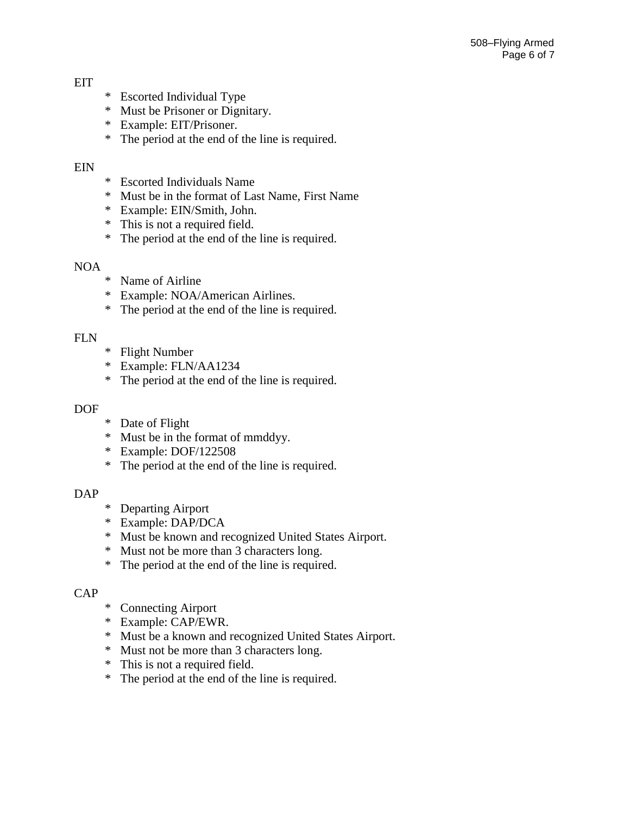#### EIT

- \* Escorted Individual Type
- \* Must be Prisoner or Dignitary.
- \* Example: EIT/Prisoner.
- \* The period at the end of the line is required.

#### EIN

- \* Escorted Individuals Name
- \* Must be in the format of Last Name, First Name
- \* Example: EIN/Smith, John.
- \* This is not a required field.
- \* The period at the end of the line is required.

#### NOA

- \* Name of Airline
- \* Example: NOA/American Airlines.
- \* The period at the end of the line is required.

#### FLN

- \* Flight Number
- \* Example: FLN/AA1234
- \* The period at the end of the line is required.

#### DOF

- \* Date of Flight
- \* Must be in the format of mmddyy.
- \* Example: DOF/122508
- \* The period at the end of the line is required.

#### DAP

- \* Departing Airport
- \* Example: DAP/DCA
- \* Must be known and recognized United States Airport.
- \* Must not be more than 3 characters long.
- \* The period at the end of the line is required.

#### CAP

- \* Connecting Airport
- \* Example: CAP/EWR.
- \* Must be a known and recognized United States Airport.
- \* Must not be more than 3 characters long.
- \* This is not a required field.
- \* The period at the end of the line is required.